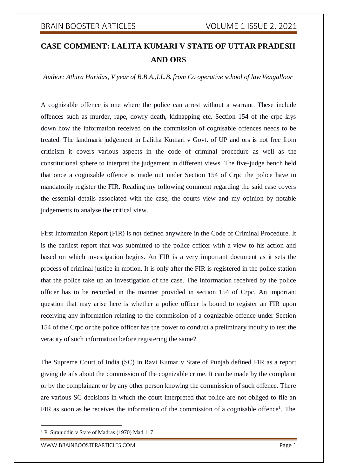# **CASE COMMENT: LALITA KUMARI V STATE OF UTTAR PRADESH AND ORS**

*Author: Athira Haridas, V year of B.B.A.,LL.B. from Co operative school of law Vengalloor*

A cognizable offence is one where the police can arrest without a warrant. These include offences such as murder, rape, dowry death, kidnapping etc. Section 154 of the crpc lays down how the information received on the commission of cognisable offences needs to be treated. The landmark judgement in Lalitha Kumari v Govt. of UP and ors is not free from criticism it covers various aspects in the code of criminal procedure as well as the constitutional sphere to interpret the judgement in different views. The five-judge bench held that once a cognizable offence is made out under Section 154 of Crpc the police have to mandatorily register the FIR. Reading my following comment regarding the said case covers the essential details associated with the case, the courts view and my opinion by notable judgements to analyse the critical view.

First Information Report (FIR) is not defined anywhere in the Code of Criminal Procedure. It is the earliest report that was submitted to the police officer with a view to his action and based on which investigation begins. An FIR is a very important document as it sets the process of criminal justice in motion. It is only after the FIR is registered in the police station that the police take up an investigation of the case. The information received by the police officer has to be recorded in the manner provided in section 154 of Crpc. An important question that may arise here is whether a police officer is bound to register an FIR upon receiving any information relating to the commission of a cognizable offence under Section 154 of the Crpc or the police officer has the power to conduct a preliminary inquiry to test the veracity of such information before registering the same?

The Supreme Court of India (SC) in Ravi Kumar v State of Punjab defined FIR as a report giving details about the commission of the cognizable crime. It can be made by the complaint or by the complainant or by any other person knowing the commission of such offence. There are various SC decisions in which the court interpreted that police are not obliged to file an FIR as soon as he receives the information of the commission of a cognisable offence<sup>1</sup>. The

<sup>&</sup>lt;sup>1</sup> P. Sirajuddin v State of Madras (1970) Mad 117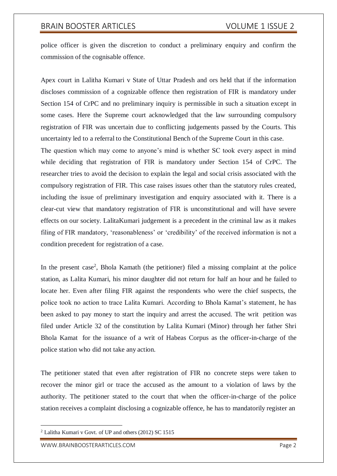police officer is given the discretion to conduct a preliminary enquiry and confirm the commission of the cognisable offence.

Apex court in Lalitha Kumari v State of Uttar Pradesh and ors held that if the information discloses commission of a cognizable offence then registration of FIR is mandatory under Section 154 of CrPC and no preliminary inquiry is permissible in such a situation except in some cases. Here the Supreme court acknowledged that the law surrounding compulsory registration of FIR was uncertain due to conflicting judgements passed by the Courts. This uncertainty led to a referral to the Constitutional Bench of the Supreme Court in this case.

The question which may come to anyone's mind is whether SC took every aspect in mind while deciding that registration of FIR is mandatory under Section 154 of CrPC. The researcher tries to avoid the decision to explain the legal and social crisis associated with the compulsory registration of FIR. This case raises issues other than the statutory rules created, including the issue of preliminary investigation and enquiry associated with it. There is a clear-cut view that mandatory registration of FIR is unconstitutional and will have severe effects on our society. LalitaKumari judgement is a precedent in the criminal law as it makes filing of FIR mandatory, 'reasonableness' or 'credibility' of the received information is not a condition precedent for registration of a case.

In the present case<sup>2</sup>, Bhola Kamath (the petitioner) filed a missing complaint at the police station, as Lalita Kumari, his minor daughter did not return for half an hour and he failed to locate her. Even after filing FIR against the respondents who were the chief suspects, the police took no action to trace Lalita Kumari. According to Bhola Kamat's statement, he has been asked to pay money to start the inquiry and arrest the accused. The writ petition was filed under Article 32 of the constitution by Lalita Kumari (Minor) through her father Shri Bhola Kamat for the issuance of a writ of Habeas Corpus as the officer-in-charge of the police station who did not take any action.

The petitioner stated that even after registration of FIR no concrete steps were taken to recover the minor girl or trace the accused as the amount to a violation of laws by the authority. The petitioner stated to the court that when the officer-in-charge of the police station receives a complaint disclosing a cognizable offence, he has to mandatorily register an

<sup>2</sup> Lalitha Kumari v Govt. of UP and others (2012) SC 1515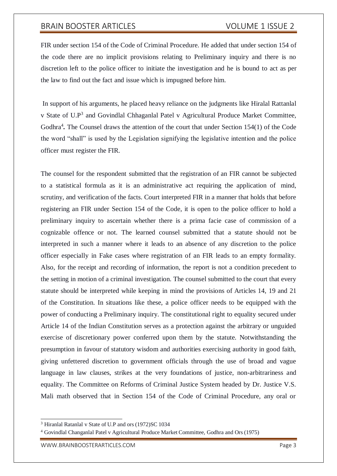FIR under section 154 of the Code of Criminal Procedure. He added that under section 154 of the code there are no implicit provisions relating to Preliminary inquiry and there is no discretion left to the police officer to initiate the investigation and he is bound to act as per the law to find out the fact and issue which is impugned before him.

In support of his arguments, he placed heavy reliance on the judgments like Hiralal Rattanlal v State of U.P<sup>3</sup> and Govindlal Chhaganlal Patel v Agricultural Produce Market Committee, Godhra<sup>4</sup>. The Counsel draws the attention of the court that under Section 154(1) of the Code the word "shall" is used by the Legislation signifying the legislative intention and the police officer must register the FIR.

The counsel for the respondent submitted that the registration of an FIR cannot be subjected to a statistical formula as it is an administrative act requiring the application of mind, scrutiny, and verification of the facts. Court interpreted FIR in a manner that holds that before registering an FIR under Section 154 of the Code, it is open to the police officer to hold a preliminary inquiry to ascertain whether there is a prima facie case of commission of a cognizable offence or not. The learned counsel submitted that a statute should not be interpreted in such a manner where it leads to an absence of any discretion to the police officer especially in Fake cases where registration of an FIR leads to an empty formality. Also, for the receipt and recording of information, the report is not a condition precedent to the setting in motion of a criminal investigation. The counsel submitted to the court that every statute should be interpreted while keeping in mind the provisions of Articles 14, 19 and 21 of the Constitution. In situations like these, a police officer needs to be equipped with the power of conducting a Preliminary inquiry. The constitutional right to equality secured under Article 14 of the Indian Constitution serves as a protection against the arbitrary or unguided exercise of discretionary power conferred upon them by the statute. Notwithstanding the presumption in favour of statutory wisdom and authorities exercising authority in good faith, giving unfettered discretion to government officials through the use of broad and vague language in law clauses, strikes at the very foundations of justice, non-arbitrariness and equality. The Committee on Reforms of Criminal Justice System headed by Dr. Justice V.S. Mali math observed that in Section 154 of the Code of Criminal Procedure, any oral or

<sup>3</sup> Hiranlal Ratanlal v State of U.P and ors (1972)SC 1034

<sup>4</sup> Govindlal Changanlal Patel v Agricultural Produce Market Committee, Godhra and Ors (1975)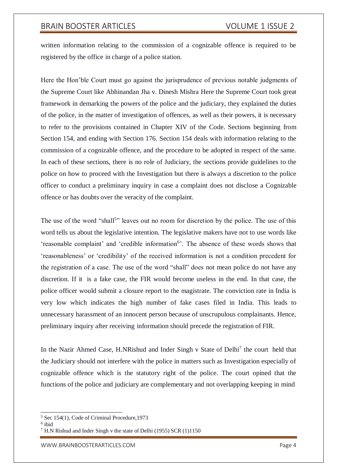written information relating to the commission of a cognizable offence is required to be registered by the office in charge of a police station.

Here the Hon'ble Court must go against the jurisprudence of previous notable judgments of the Supreme Court like Abhinandan Jha v. Dinesh Mishra Here the Supreme Court took great framework in demarking the powers of the police and the judiciary, they explained the duties of the police, in the matter of investigation of offences, as well as their powers, it is necessary to refer to the provisions contained in Chapter XIV of the Code. Sections beginning from Section 154, and ending with Section 176. Section 154 deals with information relating to the commission of a cognizable offence, and the procedure to be adopted in respect of the same. In each of these sections, there is no role of Judiciary, the sections provide guidelines to the police on how to proceed with the Investigation but there is always a discretion to the police officer to conduct a preliminary inquiry in case a complaint does not disclose a Cognizable offence or has doubts over the veracity of the complaint.

The use of the word "shall<sup>5</sup>" leaves out no room for discretion by the police. The use of this word tells us about the legislative intention. The legislative makers have not to use words like 'reasonable complaint' and 'credible information<sup>6</sup>'. The absence of these words shows that 'reasonableness' or 'credibility' of the received information is not a condition precedent for the registration of a case. The use of the word "shall" does not mean police do not have any discretion. If it is a fake case, the FIR would become useless in the end. In that case, the police officer would submit a closure report to the magistrate. The conviction rate in India is very low which indicates the high number of fake cases filed in India. This leads to unnecessary harassment of an innocent person because of unscrupulous complainants. Hence, preliminary inquiry after receiving information should precede the registration of FIR.

In the Nazir Ahmed Case, H.NRishud and Inder Singh v State of Delhi<sup>7</sup> the court held that the Judiciary should not interfere with the police in matters such as Investigation especially of cognizable offence which is the statutory right of the police. The court opined that the functions of the police and judiciary are complementary and not overlapping keeping in mind

<sup>5</sup> Sec 154(1), Code of Criminal Procedure,1973

<sup>6</sup> ibid

<sup>7</sup> H.N Rishud and Inder Singh v the state of Delhi (1955) SCR (1)1150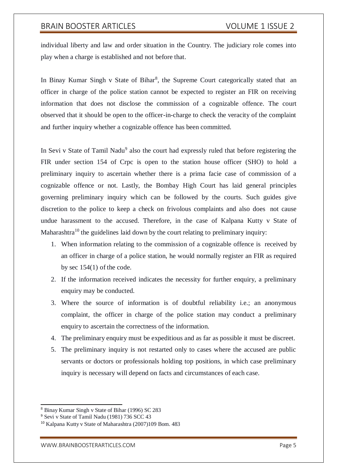individual liberty and law and order situation in the Country. The judiciary role comes into play when a charge is established and not before that.

In Binay Kumar Singh v State of Bihar<sup>8</sup>, the Supreme Court categorically stated that an officer in charge of the police station cannot be expected to register an FIR on receiving information that does not disclose the commission of a cognizable offence. The court observed that it should be open to the officer-in-charge to check the veracity of the complaint and further inquiry whether a cognizable offence has been committed.

In Sevi v State of Tamil Nadu<sup>9</sup> also the court had expressly ruled that before registering the FIR under section 154 of Crpc is open to the station house officer (SHO) to hold a preliminary inquiry to ascertain whether there is a prima facie case of commission of a cognizable offence or not. Lastly, the Bombay High Court has laid general principles governing preliminary inquiry which can be followed by the courts. Such guides give discretion to the police to keep a check on frivolous complaints and also does not cause undue harassment to the accused. Therefore, in the case of Kalpana Kutty v State of Maharashtra<sup>10</sup> the guidelines laid down by the court relating to preliminary inquiry:

- 1. When information relating to the commission of a cognizable offence is received by an officer in charge of a police station, he would normally register an FIR as required by sec 154(1) of the code.
- 2. If the information received indicates the necessity for further enquiry, a preliminary enquiry may be conducted.
- 3. Where the source of information is of doubtful reliability i.e.; an anonymous complaint, the officer in charge of the police station may conduct a preliminary enquiry to ascertain the correctness of the information.
- 4. The preliminary enquiry must be expeditious and as far as possible it must be discreet.
- 5. The preliminary inquiry is not restarted only to cases where the accused are public servants or doctors or professionals holding top positions, in which case preliminary inquiry is necessary will depend on facts and circumstances of each case.

<sup>8</sup> Binay Kumar Singh v State of Bihar (1996) SC 283

<sup>9</sup> Sevi v State of Tamil Nadu (1981) 736 SCC 43

<sup>10</sup> Kalpana Kutty v State of Maharashtra (2007)109 Bom. 483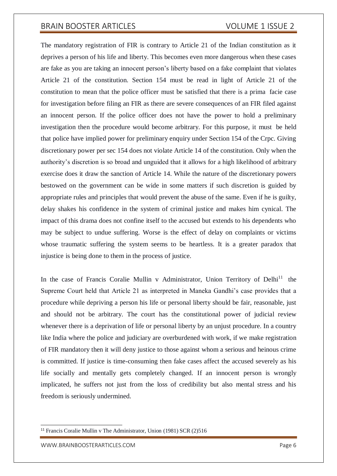The mandatory registration of FIR is contrary to Article 21 of the Indian constitution as it deprives a person of his life and liberty. This becomes even more dangerous when these cases are fake as you are taking an innocent person's liberty based on a fake complaint that violates Article 21 of the constitution. Section 154 must be read in light of Article 21 of the constitution to mean that the police officer must be satisfied that there is a prima facie case for investigation before filing an FIR as there are severe consequences of an FIR filed against an innocent person. If the police officer does not have the power to hold a preliminary investigation then the procedure would become arbitrary. For this purpose, it must be held that police have implied power for preliminary enquiry under Section 154 of the Crpc. Giving discretionary power per sec 154 does not violate Article 14 of the constitution. Only when the authority's discretion is so broad and unguided that it allows for a high likelihood of arbitrary exercise does it draw the sanction of Article 14. While the nature of the discretionary powers bestowed on the government can be wide in some matters if such discretion is guided by appropriate rules and principles that would prevent the abuse of the same. Even if he is guilty, delay shakes his confidence in the system of criminal justice and makes him cynical. The impact of this drama does not confine itself to the accused but extends to his dependents who may be subject to undue suffering. Worse is the effect of delay on complaints or victims whose traumatic suffering the system seems to be heartless. It is a greater paradox that injustice is being done to them in the process of justice.

In the case of Francis Coralie Mullin v Administrator, Union Territory of Delhi<sup>11</sup> the Supreme Court held that Article 21 as interpreted in Maneka Gandhi's case provides that a procedure while depriving a person his life or personal liberty should be fair, reasonable, just and should not be arbitrary. The court has the constitutional power of judicial review whenever there is a deprivation of life or personal liberty by an unjust procedure. In a country like India where the police and judiciary are overburdened with work, if we make registration of FIR mandatory then it will deny justice to those against whom a serious and heinous crime is committed. If justice is time-consuming then fake cases affect the accused severely as his life socially and mentally gets completely changed. If an innocent person is wrongly implicated, he suffers not just from the loss of credibility but also mental stress and his freedom is seriously undermined.

<sup>11</sup> Francis Coralie Mullin v The Administrator, Union (1981) SCR (2)516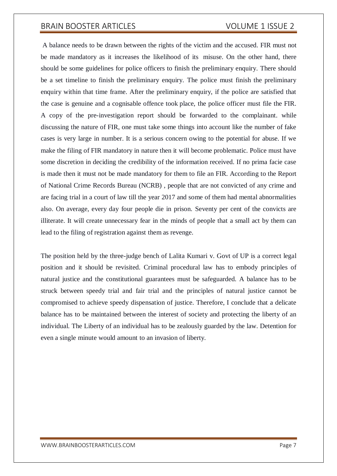A balance needs to be drawn between the rights of the victim and the accused. FIR must not be made mandatory as it increases the likelihood of its misuse. On the other hand, there should be some guidelines for police officers to finish the preliminary enquiry. There should be a set timeline to finish the preliminary enquiry. The police must finish the preliminary enquiry within that time frame. After the preliminary enquiry, if the police are satisfied that the case is genuine and a cognisable offence took place, the police officer must file the FIR. A copy of the pre-investigation report should be forwarded to the complainant. while discussing the nature of FIR, one must take some things into account like the number of fake cases is very large in number. It is a serious concern owing to the potential for abuse. If we make the filing of FIR mandatory in nature then it will become problematic. Police must have some discretion in deciding the credibility of the information received. If no prima facie case is made then it must not be made mandatory for them to file an FIR. According to the Report of National Crime Records Bureau (NCRB) , people that are not convicted of any crime and are facing trial in a court of law till the year 2017 and some of them had mental abnormalities also. On average, every day four people die in prison. Seventy per cent of the convicts are illiterate. It will create unnecessary fear in the minds of people that a small act by them can lead to the filing of registration against them as revenge.

The position held by the three-judge bench of Lalita Kumari v. Govt of UP is a correct legal position and it should be revisited. Criminal procedural law has to embody principles of natural justice and the constitutional guarantees must be safeguarded. A balance has to be struck between speedy trial and fair trial and the principles of natural justice cannot be compromised to achieve speedy dispensation of justice. Therefore, I conclude that a delicate balance has to be maintained between the interest of society and protecting the liberty of an individual. The Liberty of an individual has to be zealously guarded by the law. Detention for even a single minute would amount to an invasion of liberty.